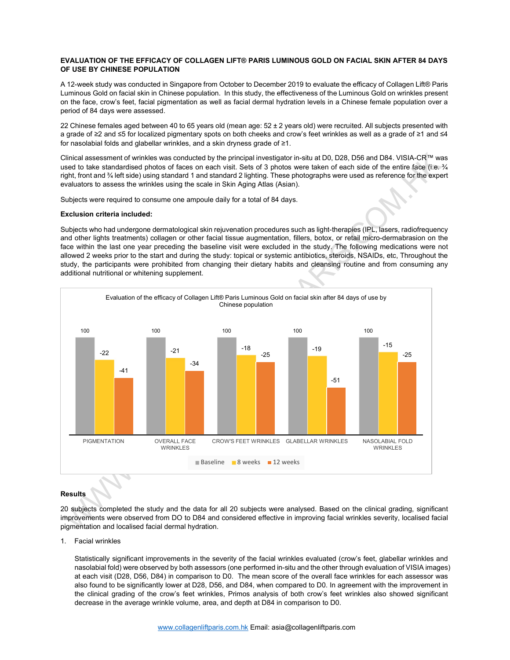## EVALUATION OF THE EFFICACY OF COLLAGEN LIFT® PARIS LUMINOUS GOLD ON FACIAL SKIN AFTER 84 DAYS OF USE BY CHINESE POPULATION

A 12-week study was conducted in Singapore from October to December 2019 to evaluate the efficacy of Collagen Lift® Paris Luminous Gold on facial skin in Chinese population. In this study, the effectiveness of the Luminous Gold on wrinkles present on the face, crow's feet, facial pigmentation as well as facial dermal hydration levels in a Chinese female population over a period of 84 days were assessed.

22 Chinese females aged between 40 to 65 years old (mean age:  $52 \pm 2$  years old) were recruited. All subjects presented with a grade of ≥2 and ≤5 for localized pigmentary spots on both cheeks and crow's feet wrinkles as well as a grade of ≥1 and ≤4 for nasolabial folds and glabellar wrinkles, and a skin dryness grade of ≥1.

Clinical assessment of wrinkles was conducted by the principal investigator in-situ at D0, D28, D56 and D84. VISIA-CR™ was used to take standardised photos of faces on each visit. Sets of 3 photos were taken of each side of the entire face (i.e.  $\frac{3}{4}$ right, front and ¾ left side) using standard 1 and standard 2 lighting. These photographs were used as reference for the expert evaluators to assess the wrinkles using the scale in Skin Aging Atlas (Asian).

Subjects were required to consume one ampoule daily for a total of 84 days.

## Exclusion criteria included:

Subjects who had undergone dermatological skin rejuvenation procedures such as light-therapies (IPL, lasers, radiofrequency and other lights treatments) collagen or other facial tissue augmentation, fillers, botox, or retail micro-dermabrasion on the face within the last one year preceding the baseline visit were excluded in the study. The following medications were not allowed 2 weeks prior to the start and during the study: topical or systemic antibiotics, steroids, NSAIDs, etc, Throughout the study, the participants were prohibited from changing their dietary habits and cleansing routine and from consuming any additional nutritional or whitening supplement.



## **Results**

20 subjects completed the study and the data for all 20 subjects were analysed. Based on the clinical grading, significant improvements were observed from DO to D84 and considered effective in improving facial wrinkles severity, localised facial pigmentation and localised facial dermal hydration.

1. Facial wrinkles

Statistically significant improvements in the severity of the facial wrinkles evaluated (crow's feet, glabellar wrinkles and nasolabial fold) were observed by both assessors (one performed in-situ and the other through evaluation of VISIA images) at each visit (D28, D56, D84) in comparison to D0. The mean score of the overall face wrinkles for each assessor was also found to be significantly lower at D28, D56, and D84, when compared to D0. In agreement with the improvement in the clinical grading of the crow's feet wrinkles, Primos analysis of both crow's feet wrinkles also showed significant decrease in the average wrinkle volume, area, and depth at D84 in comparison to D0.